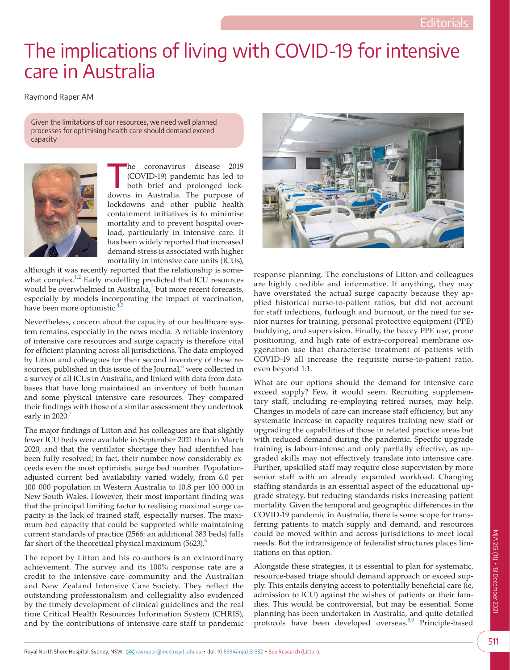## The implications of living with COVID-19 for intensive care in Australia

Raymond Raper AM

Given the limitations of our resources, we need well planned processes for optimising health care should demand exceed capacity



he coronavirus disease 2019<br>
(COVID-19) pandemic has led to<br>
both brief and prolonged lock-(COVID-19) pandemic has led to downs in Australia. The purpose of lockdowns and other public health containment initiatives is to minimise mortality and to prevent hospital overload, particularly in intensive care. It has been widely reported that increased demand stress is associated with higher mortality in intensive care units (ICUs),

although it was recently reported that the relationship is somewhat complex.<sup>1,2</sup> Early modelling predicted that ICU resources would be overwhelmed in Australia, $3$  but more recent forecasts, especially by models incorporating the impact of vaccination, have been more optimistic.<sup>4,5</sup>

Nevertheless, concern about the capacity of our healthcare system remains, especially in the news media. A reliable inventory of intensive care resources and surge capacity is therefore vital for efficient planning across all jurisdictions. The data employed by Litton and colleagues for their second inventory of these resources, published in this issue of the Journal, $6$  were collected in a survey of all ICUs in Australia, and linked with data from data bases that have long maintained an inventory of both human and some physical intensive care resources. They compared their findings with those of a similar assessment they undertook early in 2020.

The major findings of Litton and his colleagues are that slightly fewer ICU beds were available in September 2021 than in March 2020, and that the ventilator shortage they had identified has been fully resolved; in fact, their number now considerably exceeds even the most optimistic surge bed number. Populationadjusted current bed availability varied widely, from 6.0 per 100 000 population in Western Australia to 10.8 per 100 000 in New South Wales. However, their most important finding was that the principal limiting factor to realising maximal surge capacity is the lack of trained staff, especially nurses. The maximum bed capacity that could be supported while maintaining current standards of practice (2566: an additional 383 beds) falls far short of the theoretical physical maximum  $(5623)$  $(5623)$  $(5623)$ .<sup>6</sup>

The report by Litton and his co-authors is an extraordinary achievement. The survey and its 100% response rate are a credit to the intensive care community and the Australian and New Zealand Intensive Care Society. They reflect the outstanding professionalism and collegiality also evidenced by the timely development of clinical guidelines and the real time Critical Health Resources Information System (CHRIS), and by the contributions of intensive care staff to pandemic



response planning. The conclusions of Litton and colleagues are highly credible and informative. If anything, they may have overstated the actual surge capacity because they applied historical nurse-to-patient ratios, but did not account for staff infections, furlough and burnout, or the need for senior nurses for training, personal protective equipment (PPE) buddying, and supervision. Finally, the heavy PPE use, prone positioning, and high rate of extra-corporeal membrane oxygenation use that characterise treatment of patients with COVID-19 all increase the requisite nurse-to-patient ratio, even beyond 1:1.

What are our options should the demand for intensive care exceed supply? Few, it would seem. Recruiting supplementary staff, including re-employing retired nurses, may help. Changes in models of care can increase staff efficiency, but any systematic increase in capacity requires training new staff or upgrading the capabilities of those in related practice areas but with reduced demand during the pandemic. Specific upgrade training is labour-intense and only partially effective, as upgraded skills may not effectively translate into intensive care. Further, upskilled staff may require close supervision by more senior staff with an already expanded workload. Changing staffing standards is an essential aspect of the educational upgrade strategy, but reducing standards risks increasing patient mortality. Given the temporal and geographic differences in the COVID-19 pandemic in Australia, there is some scope for transferring patients to match supply and demand, and resources could be moved within and across jurisdictions to meet local needs. But the intransigence of federalist structures places limitations on this option.

Alongside these strategies, it is essential to plan for systematic, resource-based triage should demand approach or exceed supply. This entails denying access to potentially beneficial care (ie, admission to ICU) against the wishes of patients or their families. This would be controversial, but may be essential. Some planning has been undertaken in Australia, and quite detailed protocols have been developed overseas.<sup>8,9</sup> Principle-based